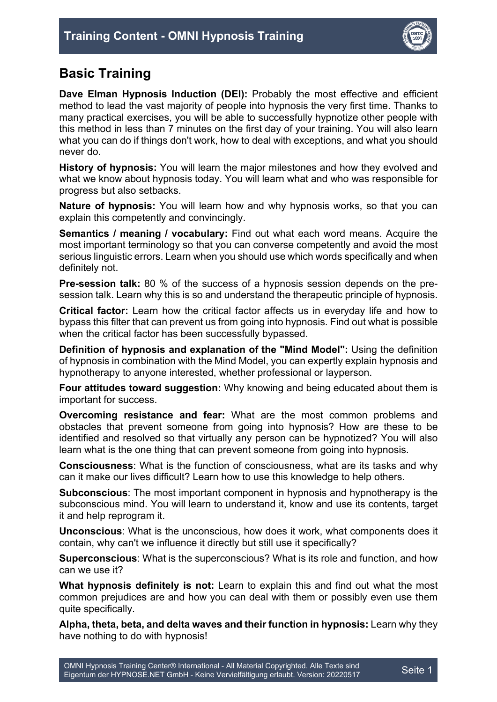

## **Basic Training**

**Dave Elman Hypnosis Induction (DEI):** Probably the most effective and efficient method to lead the vast majority of people into hypnosis the very first time. Thanks to many practical exercises, you will be able to successfully hypnotize other people with this method in less than 7 minutes on the first day of your training. You will also learn what you can do if things don't work, how to deal with exceptions, and what you should never do.

**History of hypnosis:** You will learn the major milestones and how they evolved and what we know about hypnosis today. You will learn what and who was responsible for progress but also setbacks.

**Nature of hypnosis:** You will learn how and why hypnosis works, so that you can explain this competently and convincingly.

**Semantics / meaning / vocabulary:** Find out what each word means. Acquire the most important terminology so that you can converse competently and avoid the most serious linguistic errors. Learn when you should use which words specifically and when definitely not.

**Pre-session talk:** 80 % of the success of a hypnosis session depends on the presession talk. Learn why this is so and understand the therapeutic principle of hypnosis.

**Critical factor:** Learn how the critical factor affects us in everyday life and how to bypass this filter that can prevent us from going into hypnosis. Find out what is possible when the critical factor has been successfully bypassed.

**Definition of hypnosis and explanation of the "Mind Model":** Using the definition of hypnosis in combination with the Mind Model, you can expertly explain hypnosis and hypnotherapy to anyone interested, whether professional or layperson.

**Four attitudes toward suggestion:** Why knowing and being educated about them is important for success.

**Overcoming resistance and fear:** What are the most common problems and obstacles that prevent someone from going into hypnosis? How are these to be identified and resolved so that virtually any person can be hypnotized? You will also learn what is the one thing that can prevent someone from going into hypnosis.

**Consciousness**: What is the function of consciousness, what are its tasks and why can it make our lives difficult? Learn how to use this knowledge to help others.

**Subconscious**: The most important component in hypnosis and hypnotherapy is the subconscious mind. You will learn to understand it, know and use its contents, target it and help reprogram it.

**Unconscious**: What is the unconscious, how does it work, what components does it contain, why can't we influence it directly but still use it specifically?

**Superconscious**: What is the superconscious? What is its role and function, and how can we use it?

**What hypnosis definitely is not:** Learn to explain this and find out what the most common prejudices are and how you can deal with them or possibly even use them quite specifically.

**Alpha, theta, beta, and delta waves and their function in hypnosis:** Learn why they have nothing to do with hypnosis!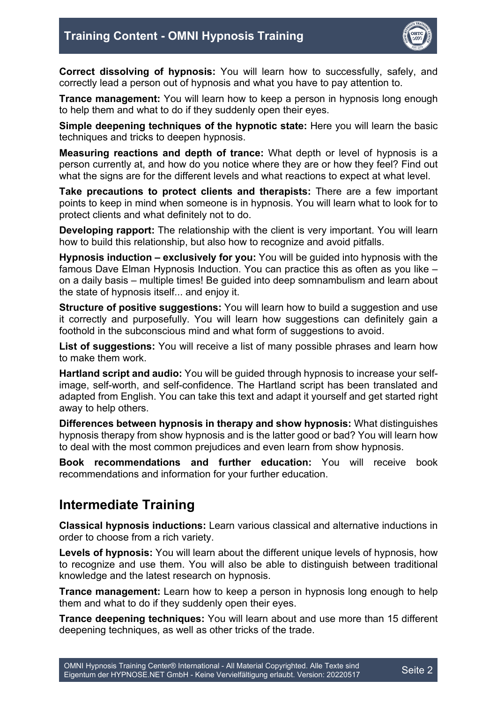

**Correct dissolving of hypnosis:** You will learn how to successfully, safely, and correctly lead a person out of hypnosis and what you have to pay attention to.

**Trance management:** You will learn how to keep a person in hypnosis long enough to help them and what to do if they suddenly open their eyes.

**Simple deepening techniques of the hypnotic state:** Here you will learn the basic techniques and tricks to deepen hypnosis.

**Measuring reactions and depth of trance:** What depth or level of hypnosis is a person currently at, and how do you notice where they are or how they feel? Find out what the signs are for the different levels and what reactions to expect at what level.

**Take precautions to protect clients and therapists:** There are a few important points to keep in mind when someone is in hypnosis. You will learn what to look for to protect clients and what definitely not to do.

**Developing rapport:** The relationship with the client is very important. You will learn how to build this relationship, but also how to recognize and avoid pitfalls.

**Hypnosis induction – exclusively for you:** You will be guided into hypnosis with the famous Dave Elman Hypnosis Induction. You can practice this as often as you like – on a daily basis – multiple times! Be guided into deep somnambulism and learn about the state of hypnosis itself... and enjoy it.

**Structure of positive suggestions:** You will learn how to build a suggestion and use it correctly and purposefully. You will learn how suggestions can definitely gain a foothold in the subconscious mind and what form of suggestions to avoid.

**List of suggestions:** You will receive a list of many possible phrases and learn how to make them work.

**Hartland script and audio:** You will be guided through hypnosis to increase your selfimage, self-worth, and self-confidence. The Hartland script has been translated and adapted from English. You can take this text and adapt it yourself and get started right away to help others.

**Differences between hypnosis in therapy and show hypnosis:** What distinguishes hypnosis therapy from show hypnosis and is the latter good or bad? You will learn how to deal with the most common prejudices and even learn from show hypnosis.

**Book recommendations and further education:** You will receive book recommendations and information for your further education.

## **Intermediate Training**

**Classical hypnosis inductions:** Learn various classical and alternative inductions in order to choose from a rich variety.

**Levels of hypnosis:** You will learn about the different unique levels of hypnosis, how to recognize and use them. You will also be able to distinguish between traditional knowledge and the latest research on hypnosis.

**Trance management:** Learn how to keep a person in hypnosis long enough to help them and what to do if they suddenly open their eyes.

**Trance deepening techniques:** You will learn about and use more than 15 different deepening techniques, as well as other tricks of the trade.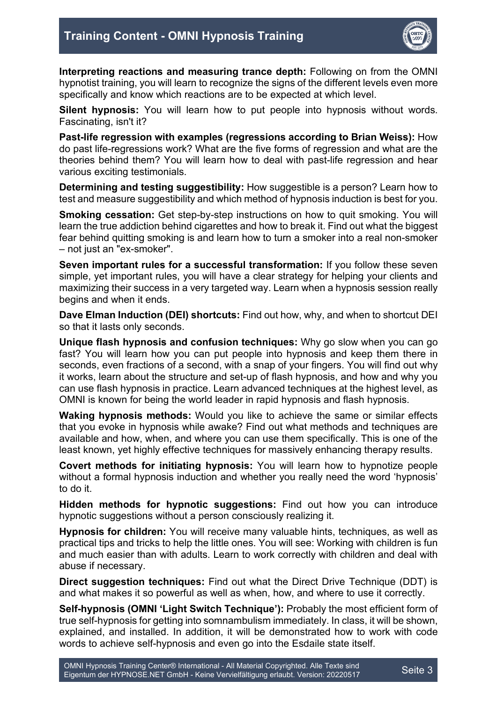

**Interpreting reactions and measuring trance depth:** Following on from the OMNI hypnotist training, you will learn to recognize the signs of the different levels even more specifically and know which reactions are to be expected at which level.

**Silent hypnosis:** You will learn how to put people into hypnosis without words. Fascinating, isn't it?

**Past-life regression with examples (regressions according to Brian Weiss):** How do past life-regressions work? What are the five forms of regression and what are the theories behind them? You will learn how to deal with past-life regression and hear various exciting testimonials.

**Determining and testing suggestibility:** How suggestible is a person? Learn how to test and measure suggestibility and which method of hypnosis induction is best for you.

**Smoking cessation:** Get step-by-step instructions on how to quit smoking. You will learn the true addiction behind cigarettes and how to break it. Find out what the biggest fear behind quitting smoking is and learn how to turn a smoker into a real non-smoker – not just an "ex-smoker".

**Seven important rules for a successful transformation:** If you follow these seven simple, yet important rules, you will have a clear strategy for helping your clients and maximizing their success in a very targeted way. Learn when a hypnosis session really begins and when it ends.

**Dave Elman Induction (DEI) shortcuts:** Find out how, why, and when to shortcut DEI so that it lasts only seconds.

**Unique flash hypnosis and confusion techniques:** Why go slow when you can go fast? You will learn how you can put people into hypnosis and keep them there in seconds, even fractions of a second, with a snap of your fingers. You will find out why it works, learn about the structure and set-up of flash hypnosis, and how and why you can use flash hypnosis in practice. Learn advanced techniques at the highest level, as OMNI is known for being the world leader in rapid hypnosis and flash hypnosis.

**Waking hypnosis methods:** Would you like to achieve the same or similar effects that you evoke in hypnosis while awake? Find out what methods and techniques are available and how, when, and where you can use them specifically. This is one of the least known, yet highly effective techniques for massively enhancing therapy results.

**Covert methods for initiating hypnosis:** You will learn how to hypnotize people without a formal hypnosis induction and whether you really need the word 'hypnosis' to do it.

**Hidden methods for hypnotic suggestions:** Find out how you can introduce hypnotic suggestions without a person consciously realizing it.

**Hypnosis for children:** You will receive many valuable hints, techniques, as well as practical tips and tricks to help the little ones. You will see: Working with children is fun and much easier than with adults. Learn to work correctly with children and deal with abuse if necessary.

**Direct suggestion techniques:** Find out what the Direct Drive Technique (DDT) is and what makes it so powerful as well as when, how, and where to use it correctly.

**Self-hypnosis (OMNI 'Light Switch Technique'):** Probably the most efficient form of true self-hypnosis for getting into somnambulism immediately. In class, it will be shown, explained, and installed. In addition, it will be demonstrated how to work with code words to achieve self-hypnosis and even go into the Esdaile state itself.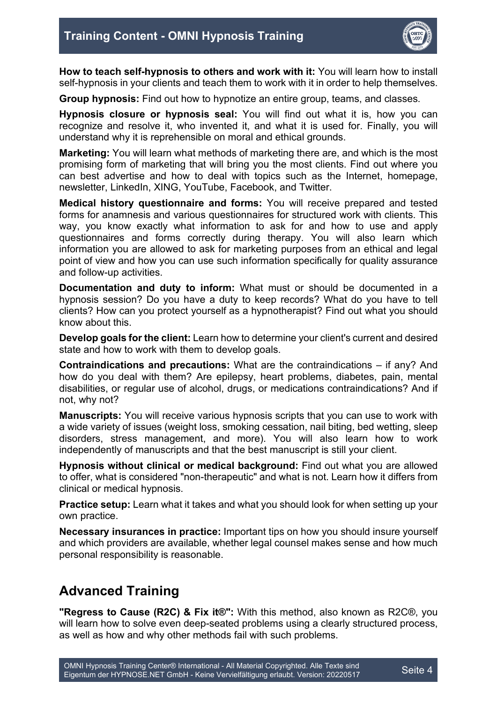

**How to teach self-hypnosis to others and work with it:** You will learn how to install self-hypnosis in your clients and teach them to work with it in order to help themselves.

**Group hypnosis:** Find out how to hypnotize an entire group, teams, and classes.

**Hypnosis closure or hypnosis seal:** You will find out what it is, how you can recognize and resolve it, who invented it, and what it is used for. Finally, you will understand why it is reprehensible on moral and ethical grounds.

**Marketing:** You will learn what methods of marketing there are, and which is the most promising form of marketing that will bring you the most clients. Find out where you can best advertise and how to deal with topics such as the Internet, homepage, newsletter, LinkedIn, XING, YouTube, Facebook, and Twitter.

**Medical history questionnaire and forms:** You will receive prepared and tested forms for anamnesis and various questionnaires for structured work with clients. This way, you know exactly what information to ask for and how to use and apply questionnaires and forms correctly during therapy. You will also learn which information you are allowed to ask for marketing purposes from an ethical and legal point of view and how you can use such information specifically for quality assurance and follow-up activities.

**Documentation and duty to inform:** What must or should be documented in a hypnosis session? Do you have a duty to keep records? What do you have to tell clients? How can you protect yourself as a hypnotherapist? Find out what you should know about this.

**Develop goals for the client:** Learn how to determine your client's current and desired state and how to work with them to develop goals.

**Contraindications and precautions:** What are the contraindications – if any? And how do you deal with them? Are epilepsy, heart problems, diabetes, pain, mental disabilities, or regular use of alcohol, drugs, or medications contraindications? And if not, why not?

**Manuscripts:** You will receive various hypnosis scripts that you can use to work with a wide variety of issues (weight loss, smoking cessation, nail biting, bed wetting, sleep disorders, stress management, and more). You will also learn how to work independently of manuscripts and that the best manuscript is still your client.

**Hypnosis without clinical or medical background:** Find out what you are allowed to offer, what is considered "non-therapeutic" and what is not. Learn how it differs from clinical or medical hypnosis.

**Practice setup:** Learn what it takes and what you should look for when setting up your own practice.

**Necessary insurances in practice:** Important tips on how you should insure yourself and which providers are available, whether legal counsel makes sense and how much personal responsibility is reasonable.

## **Advanced Training**

**"Regress to Cause (R2C) & Fix it®":** With this method, also known as R2C®, you will learn how to solve even deep-seated problems using a clearly structured process, as well as how and why other methods fail with such problems.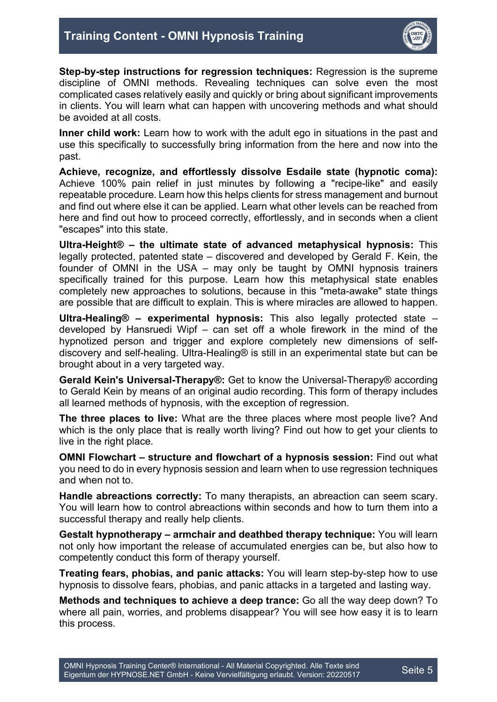

**Step-by-step instructions for regression techniques:** Regression is the supreme discipline of OMNI methods. Revealing techniques can solve even the most complicated cases relatively easily and quickly or bring about significant improvements in clients. You will learn what can happen with uncovering methods and what should be avoided at all costs.

**Inner child work:** Learn how to work with the adult ego in situations in the past and use this specifically to successfully bring information from the here and now into the past.

**Achieve, recognize, and effortlessly dissolve Esdaile state (hypnotic coma):**  Achieve 100% pain relief in just minutes by following a "recipe-like" and easily repeatable procedure. Learn how this helps clients for stress management and burnout and find out where else it can be applied. Learn what other levels can be reached from here and find out how to proceed correctly, effortlessly, and in seconds when a client "escapes" into this state.

**Ultra-Height® – the ultimate state of advanced metaphysical hypnosis:** This legally protected, patented state – discovered and developed by Gerald F. Kein, the founder of OMNI in the USA – may only be taught by OMNI hypnosis trainers specifically trained for this purpose. Learn how this metaphysical state enables completely new approaches to solutions, because in this "meta-awake" state things are possible that are difficult to explain. This is where miracles are allowed to happen.

**Ultra-Healing® – experimental hypnosis:** This also legally protected state – developed by Hansruedi Wipf – can set off a whole firework in the mind of the hypnotized person and trigger and explore completely new dimensions of selfdiscovery and self-healing. Ultra-Healing® is still in an experimental state but can be brought about in a very targeted way.

**Gerald Kein's Universal-Therapy®:** Get to know the Universal-Therapy® according to Gerald Kein by means of an original audio recording. This form of therapy includes all learned methods of hypnosis, with the exception of regression.

**The three places to live:** What are the three places where most people live? And which is the only place that is really worth living? Find out how to get your clients to live in the right place.

**OMNI Flowchart – structure and flowchart of a hypnosis session:** Find out what you need to do in every hypnosis session and learn when to use regression techniques and when not to.

**Handle abreactions correctly:** To many therapists, an abreaction can seem scary. You will learn how to control abreactions within seconds and how to turn them into a successful therapy and really help clients.

**Gestalt hypnotherapy – armchair and deathbed therapy technique:** You will learn not only how important the release of accumulated energies can be, but also how to competently conduct this form of therapy yourself.

**Treating fears, phobias, and panic attacks:** You will learn step-by-step how to use hypnosis to dissolve fears, phobias, and panic attacks in a targeted and lasting way.

**Methods and techniques to achieve a deep trance:** Go all the way deep down? To where all pain, worries, and problems disappear? You will see how easy it is to learn this process.